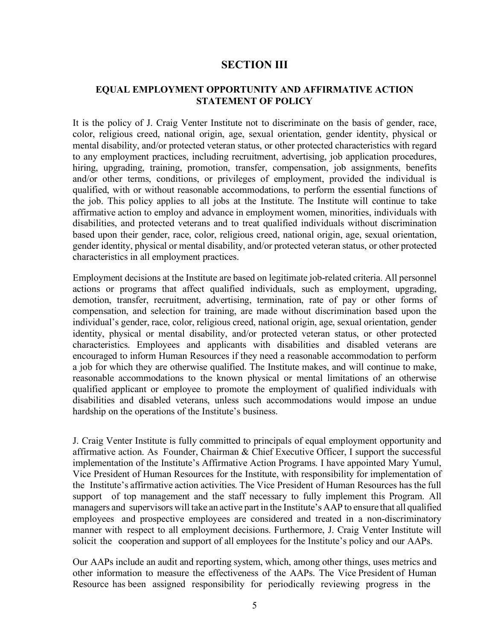## **SECTION III**

## **EQUAL EMPLOYMENT OPPORTUNITY AND AFFIRMATIVE ACTION STATEMENT OF POLICY**

It is the policy of J. Craig Venter Institute not to discriminate on the basis of gender, race, color, religious creed, national origin, age, sexual orientation, gender identity, physical or mental disability, and/or protected veteran status, or other protected characteristics with regard to any employment practices, including recruitment, advertising, job application procedures, hiring, upgrading, training, promotion, transfer, compensation, job assignments, benefits and/or other terms, conditions, or privileges of employment, provided the individual is qualified, with or without reasonable accommodations, to perform the essential functions of the job. This policy applies to all jobs at the Institute. The Institute will continue to take affirmative action to employ and advance in employment women, minorities, individuals with disabilities, and protected veterans and to treat qualified individuals without discrimination based upon their gender, race, color, religious creed, national origin, age, sexual orientation, gender identity, physical or mental disability, and/or protected veteran status, or other protected characteristics in all employment practices.

Employment decisions at the Institute are based on legitimate job-related criteria. All personnel actions or programs that affect qualified individuals, such as employment, upgrading, demotion, transfer, recruitment, advertising, termination, rate of pay or other forms of compensation, and selection for training, are made without discrimination based upon the individual's gender, race, color, religious creed, national origin, age, sexual orientation, gender identity, physical or mental disability, and/or protected veteran status, or other protected characteristics. Employees and applicants with disabilities and disabled veterans are encouraged to inform Human Resources if they need a reasonable accommodation to perform a job for which they are otherwise qualified. The Institute makes, and will continue to make, reasonable accommodations to the known physical or mental limitations of an otherwise qualified applicant or employee to promote the employment of qualified individuals with disabilities and disabled veterans, unless such accommodations would impose an undue hardship on the operations of the Institute's business.

J. Craig Venter Institute is fully committed to principals of equal employment opportunity and affirmative action. As Founder, Chairman & Chief Executive Officer, I support the successful implementation of the Institute's Affirmative Action Programs. I have appointed Mary Yumul, Vice President of Human Resources for the Institute, with responsibility for implementation of the Institute's affirmative action activities. The Vice President of Human Resources has the full support of top management and the staff necessary to fully implement this Program. All managers and supervisors will take an active part in the Institute's AAP to ensure that all qualified employees and prospective employees are considered and treated in a non-discriminatory manner with respect to all employment decisions. Furthermore, J. Craig Venter Institute will solicit the cooperation and support of all employees for the Institute's policy and our AAPs.

Our AAPs include an audit and reporting system, which, among other things, uses metrics and other information to measure the effectiveness of the AAPs. The Vice President of Human Resource has been assigned responsibility for periodically reviewing progress in the